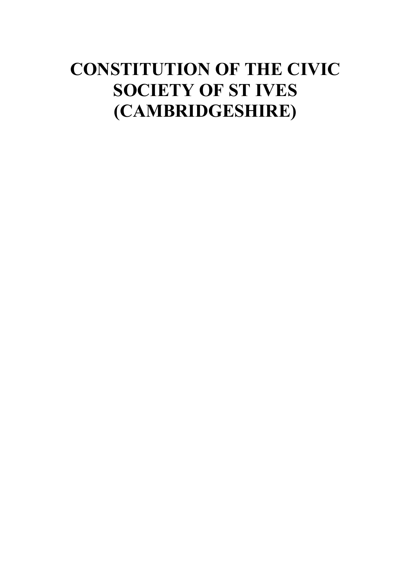# **CONSTITUTION OF THE CIVIC SOCIETY OF ST IVES (CAMBRIDGESHIRE)**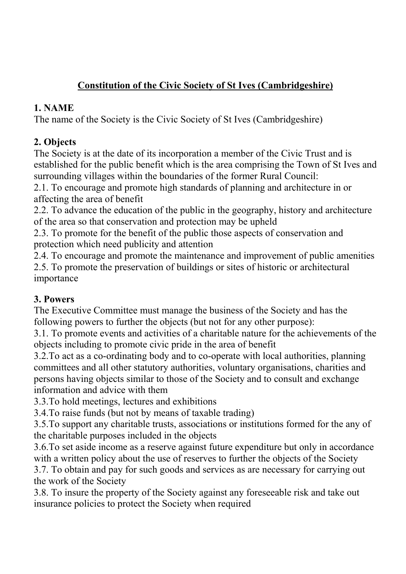## **Constitution of the Civic Society of St Ives (Cambridgeshire)**

#### **1. NAME**

The name of the Society is the Civic Society of St Ives (Cambridgeshire)

# **2. Objects**

The Society is at the date of its incorporation a member of the Civic Trust and is established for the public benefit which is the area comprising the Town of St Ives and surrounding villages within the boundaries of the former Rural Council:

2.1. To encourage and promote high standards of planning and architecture in or affecting the area of benefit

2.2. To advance the education of the public in the geography, history and architecture of the area so that conservation and protection may be upheld

2.3. To promote for the benefit of the public those aspects of conservation and protection which need publicity and attention

2.4. To encourage and promote the maintenance and improvement of public amenities 2.5. To promote the preservation of buildings or sites of historic or architectural importance

#### **3. Powers**

The Executive Committee must manage the business of the Society and has the following powers to further the objects (but not for any other purpose):

3.1. To promote events and activities of a charitable nature for the achievements of the objects including to promote civic pride in the area of benefit

3.2.To act as a co-ordinating body and to co-operate with local authorities, planning committees and all other statutory authorities, voluntary organisations, charities and persons having objects similar to those of the Society and to consult and exchange information and advice with them

3.3.To hold meetings, lectures and exhibitions

3.4.To raise funds (but not by means of taxable trading)

3.5.To support any charitable trusts, associations or institutions formed for the any of the charitable purposes included in the objects

3.6.To set aside income as a reserve against future expenditure but only in accordance with a written policy about the use of reserves to further the objects of the Society

3.7. To obtain and pay for such goods and services as are necessary for carrying out the work of the Society

3.8. To insure the property of the Society against any foreseeable risk and take out insurance policies to protect the Society when required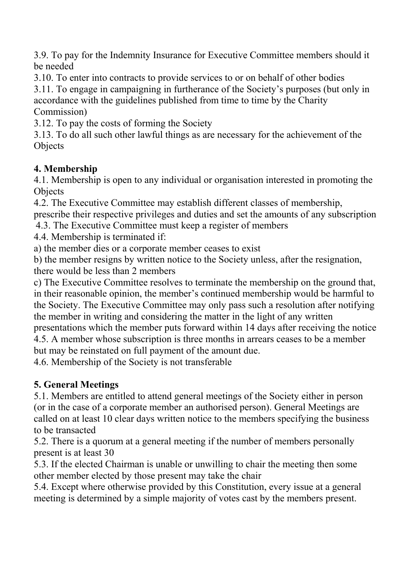3.9. To pay for the Indemnity Insurance for Executive Committee members should it be needed

3.10. To enter into contracts to provide services to or on behalf of other bodies

3.11. To engage in campaigning in furtherance of the Society's purposes (but only in accordance with the guidelines published from time to time by the Charity Commission)

3.12. To pay the costs of forming the Society

3.13. To do all such other lawful things as are necessary for the achievement of the **Objects** 

#### **4. Membership**

4.1. Membership is open to any individual or organisation interested in promoting the **Objects** 

4.2. The Executive Committee may establish different classes of membership,

prescribe their respective privileges and duties and set the amounts of any subscription 4.3. The Executive Committee must keep a register of members

4.4. Membership is terminated if:

a) the member dies or a corporate member ceases to exist

b) the member resigns by written notice to the Society unless, after the resignation, there would be less than 2 members

c) The Executive Committee resolves to terminate the membership on the ground that, in their reasonable opinion, the member's continued membership would be harmful to the Society. The Executive Committee may only pass such a resolution after notifying the member in writing and considering the matter in the light of any written presentations which the member puts forward within 14 days after receiving the notice

4.5. A member whose subscription is three months in arrears ceases to be a member but may be reinstated on full payment of the amount due.

4.6. Membership of the Society is not transferable

#### **5. General Meetings**

5.1. Members are entitled to attend general meetings of the Society either in person (or in the case of a corporate member an authorised person). General Meetings are called on at least 10 clear days written notice to the members specifying the business to be transacted

5.2. There is a quorum at a general meeting if the number of members personally present is at least 30

5.3. If the elected Chairman is unable or unwilling to chair the meeting then some other member elected by those present may take the chair

5.4. Except where otherwise provided by this Constitution, every issue at a general meeting is determined by a simple majority of votes cast by the members present.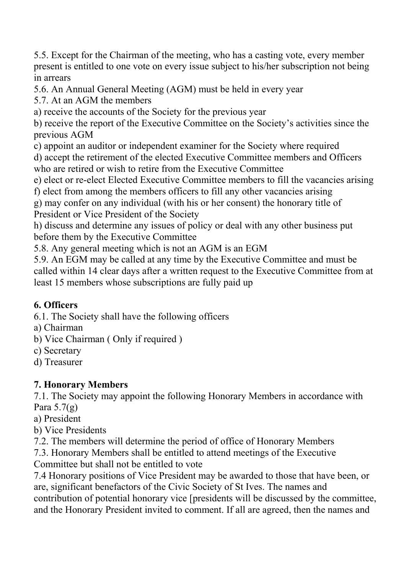5.5. Except for the Chairman of the meeting, who has a casting vote, every member present is entitled to one vote on every issue subject to his/her subscription not being in arrears

5.6. An Annual General Meeting (AGM) must be held in every year

5.7. At an AGM the members

a) receive the accounts of the Society for the previous year

b) receive the report of the Executive Committee on the Society's activities since the previous AGM

c) appoint an auditor or independent examiner for the Society where required

d) accept the retirement of the elected Executive Committee members and Officers who are retired or wish to retire from the Executive Committee

e) elect or re-elect Elected Executive Committee members to fill the vacancies arising

f) elect from among the members officers to fill any other vacancies arising

g) may confer on any individual (with his or her consent) the honorary title of President or Vice President of the Society

h) discuss and determine any issues of policy or deal with any other business put before them by the Executive Committee

5.8. Any general meeting which is not an AGM is an EGM

5.9. An EGM may be called at any time by the Executive Committee and must be called within 14 clear days after a written request to the Executive Committee from at least 15 members whose subscriptions are fully paid up

#### **6. Officers**

6.1. The Society shall have the following officers

- a) Chairman
- b) Vice Chairman ( Only if required )
- c) Secretary
- d) Treasurer

## **7. Honorary Members**

7.1. The Society may appoint the following Honorary Members in accordance with Para  $5.7(g)$ 

a) President

b) Vice Presidents

7.2. The members will determine the period of office of Honorary Members

7.3. Honorary Members shall be entitled to attend meetings of the Executive Committee but shall not be entitled to vote

7.4 Honorary positions of Vice President may be awarded to those that have been, or are, significant benefactors of the Civic Society of St Ives. The names and contribution of potential honorary vice [presidents will be discussed by the committee, and the Honorary President invited to comment. If all are agreed, then the names and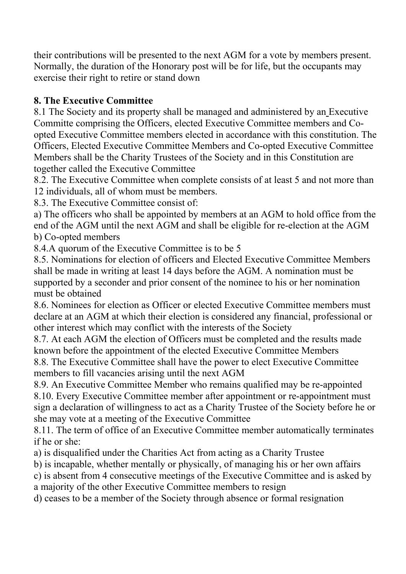their contributions will be presented to the next AGM for a vote by members present. Normally, the duration of the Honorary post will be for life, but the occupants may exercise their right to retire or stand down

#### **8. The Executive Committee**

8.1 The Society and its property shall be managed and administered by an Executive Committe comprising the Officers, elected Executive Committee members and Coopted Executive Committee members elected in accordance with this constitution. The Officers, Elected Executive Committee Members and Co-opted Executive Committee Members shall be the Charity Trustees of the Society and in this Constitution are together called the Executive Committee

8.2. The Executive Committee when complete consists of at least 5 and not more than 12 individuals, all of whom must be members.

8.3. The Executive Committee consist of:

a) The officers who shall be appointed by members at an AGM to hold office from the end of the AGM until the next AGM and shall be eligible for re-election at the AGM b) Co-opted members

8.4.A quorum of the Executive Committee is to be 5

8.5. Nominations for election of officers and Elected Executive Committee Members shall be made in writing at least 14 days before the AGM. A nomination must be supported by a seconder and prior consent of the nominee to his or her nomination must be obtained

8.6. Nominees for election as Officer or elected Executive Committee members must declare at an AGM at which their election is considered any financial, professional or other interest which may conflict with the interests of the Society

8.7. At each AGM the election of Officers must be completed and the results made known before the appointment of the elected Executive Committee Members

8.8. The Executive Committee shall have the power to elect Executive Committee members to fill vacancies arising until the next AGM

8.9. An Executive Committee Member who remains qualified may be re-appointed 8.10. Every Executive Committee member after appointment or re-appointment must sign a declaration of willingness to act as a Charity Trustee of the Society before he or she may vote at a meeting of the Executive Committee

8.11. The term of office of an Executive Committee member automatically terminates if he or she:

a) is disqualified under the Charities Act from acting as a Charity Trustee

b) is incapable, whether mentally or physically, of managing his or her own affairs

c) is absent from 4 consecutive meetings of the Executive Committee and is asked by

a majority of the other Executive Committee members to resign

d) ceases to be a member of the Society through absence or formal resignation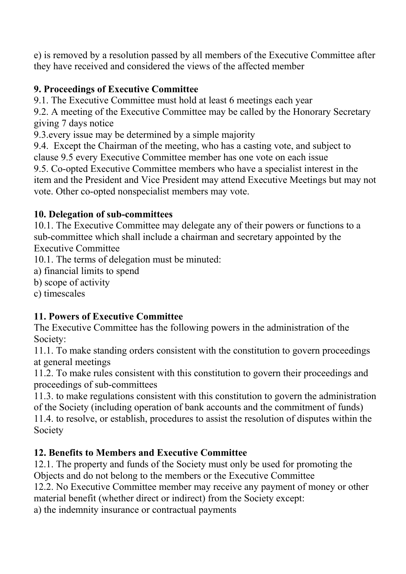e) is removed by a resolution passed by all members of the Executive Committee after they have received and considered the views of the affected member

#### **9. Proceedings of Executive Committee**

9.1. The Executive Committee must hold at least 6 meetings each year

9.2. A meeting of the Executive Committee may be called by the Honorary Secretary giving 7 days notice

9.3.every issue may be determined by a simple majority

9.4. Except the Chairman of the meeting, who has a casting vote, and subject to clause 9.5 every Executive Committee member has one vote on each issue 9.5. Co-opted Executive Committee members who have a specialist interest in the item and the President and Vice President may attend Executive Meetings but may not vote. Other co-opted nonspecialist members may vote.

#### **10. Delegation of sub-committees**

10.1. The Executive Committee may delegate any of their powers or functions to a sub-committee which shall include a chairman and secretary appointed by the Executive Committee

10.1. The terms of delegation must be minuted:

- a) financial limits to spend
- b) scope of activity

c) timescales

## **11. Powers of Executive Committee**

The Executive Committee has the following powers in the administration of the Society:

11.1. To make standing orders consistent with the constitution to govern proceedings at general meetings

11.2. To make rules consistent with this constitution to govern their proceedings and proceedings of sub-committees

11.3. to make regulations consistent with this constitution to govern the administration of the Society (including operation of bank accounts and the commitment of funds) 11.4. to resolve, or establish, procedures to assist the resolution of disputes within the

Society

#### **12. Benefits to Members and Executive Committee**

12.1. The property and funds of the Society must only be used for promoting the Objects and do not belong to the members or the Executive Committee

12.2. No Executive Committee member may receive any payment of money or other material benefit (whether direct or indirect) from the Society except:

a) the indemnity insurance or contractual payments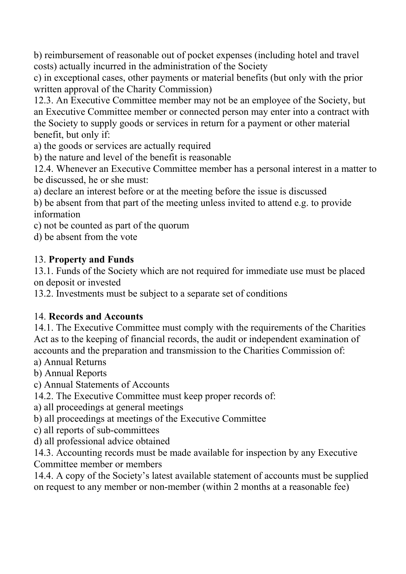b) reimbursement of reasonable out of pocket expenses (including hotel and travel costs) actually incurred in the administration of the Society

c) in exceptional cases, other payments or material benefits (but only with the prior written approval of the Charity Commission)

12.3. An Executive Committee member may not be an employee of the Society, but an Executive Committee member or connected person may enter into a contract with the Society to supply goods or services in return for a payment or other material benefit, but only if:

a) the goods or services are actually required

b) the nature and level of the benefit is reasonable

12.4. Whenever an Executive Committee member has a personal interest in a matter to be discussed, he or she must:

a) declare an interest before or at the meeting before the issue is discussed

b) be absent from that part of the meeting unless invited to attend e.g. to provide information

c) not be counted as part of the quorum

d) be absent from the vote

#### 13. **Property and Funds**

13.1. Funds of the Society which are not required for immediate use must be placed on deposit or invested

13.2. Investments must be subject to a separate set of conditions

#### 14. **Records and Accounts**

14.1. The Executive Committee must comply with the requirements of the Charities Act as to the keeping of financial records, the audit or independent examination of accounts and the preparation and transmission to the Charities Commission of:

- a) Annual Returns
- b) Annual Reports
- c) Annual Statements of Accounts
- 14.2. The Executive Committee must keep proper records of:
- a) all proceedings at general meetings
- b) all proceedings at meetings of the Executive Committee
- c) all reports of sub-committees
- d) all professional advice obtained

14.3. Accounting records must be made available for inspection by any Executive Committee member or members

14.4. A copy of the Society's latest available statement of accounts must be supplied on request to any member or non-member (within 2 months at a reasonable fee)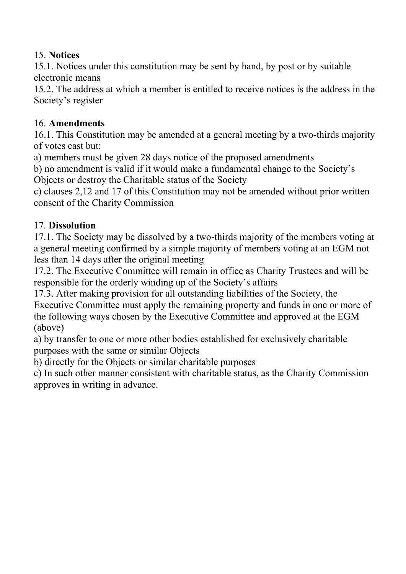#### 15. **Notices**

15.1. Notices under this constitution may be sent by hand, by post or by suitable electronic means

15.2. The address at which a member is entitled to receive notices is the address in the Society's register

#### 16. **Amendments**

16.1. This Constitution may be amended at a general meeting by a two-thirds majority of votes cast but:

a) members must be given 28 days notice of the proposed amendments

b) no amendment is valid if it would make a fundamental change to the Society's Objects or destroy the Charitable status of the Society

c) clauses 2,12 and 17 of this Constitution may not be amended without prior written consent of the Charity Commission

#### 17. **Dissolution**

17.1. The Society may be dissolved by a two-thirds majority of the members voting at a general meeting confirmed by a simple majority of members voting at an EGM not less than 14 days after the original meeting

17.2. The Executive Committee will remain in office as Charity Trustees and will be responsible for the orderly winding up of the Society's affairs

17.3. After making provision for all outstanding liabilities of the Society, the Executive Committee must apply the remaining property and funds in one or more of the following ways chosen by the Executive Committee and approved at the EGM (above)

a) by transfer to one or more other bodies established for exclusively charitable purposes with the same or similar Objects

b) directly for the Objects or similar charitable purposes

c) In such other manner consistent with charitable status, as the Charity Commission approves in writing in advance.